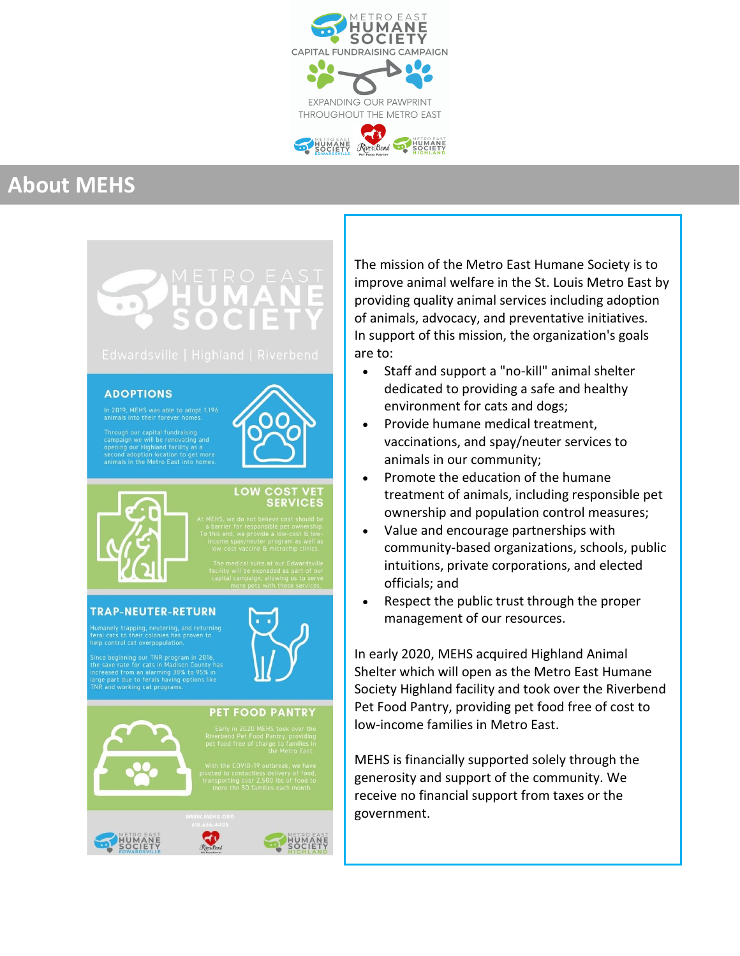

# **About MEHS**

### **ADOPTIONS**

n 2019, MEHS was able to adopt 1,196<br>inimals into their forever homes.

aign we will be renovating ar<br>ng our Highland facility as a



# LOW COST VET

### TRAP-NEUTER-RETURN

ianely trapping, neutering, and returning<br>il cats to their colonies has proven to

eginning our TNR program in 2016,<br>e rate for cats in Madison County has<br>ed from an alarming 38% to 95% in<br>art due to ferals having options like working cat programs



### **PET FOOD PANTRY**



The mission of the Metro East Humane Society is to improve animal welfare in the St. Louis Metro East by providing quality animal services including adoption of animals, advocacy, and preventative initiatives. In support of this mission, the organization's goals are to:

- Staff and support a "no-kill" animal shelter dedicated to providing a safe and healthy environment for cats and dogs;
- Provide humane medical treatment, vaccinations, and spay/neuter services to animals in our community;
- Promote the education of the humane treatment of animals, including responsible pet ownership and population control measures;
- Value and encourage partnerships with community-based organizations, schools, public intuitions, private corporations, and elected officials; and
- Respect the public trust through the proper management of our resources.

In early 2020, MEHS acquired Highland Animal Shelter which will open as the Metro East Humane Society Highland facility and took over the Riverbend Pet Food Pantry, providing pet food free of cost to low-income families in Metro East.

MEHS is financially supported solely through the generosity and support of the community. We receive no financial support from taxes or the government.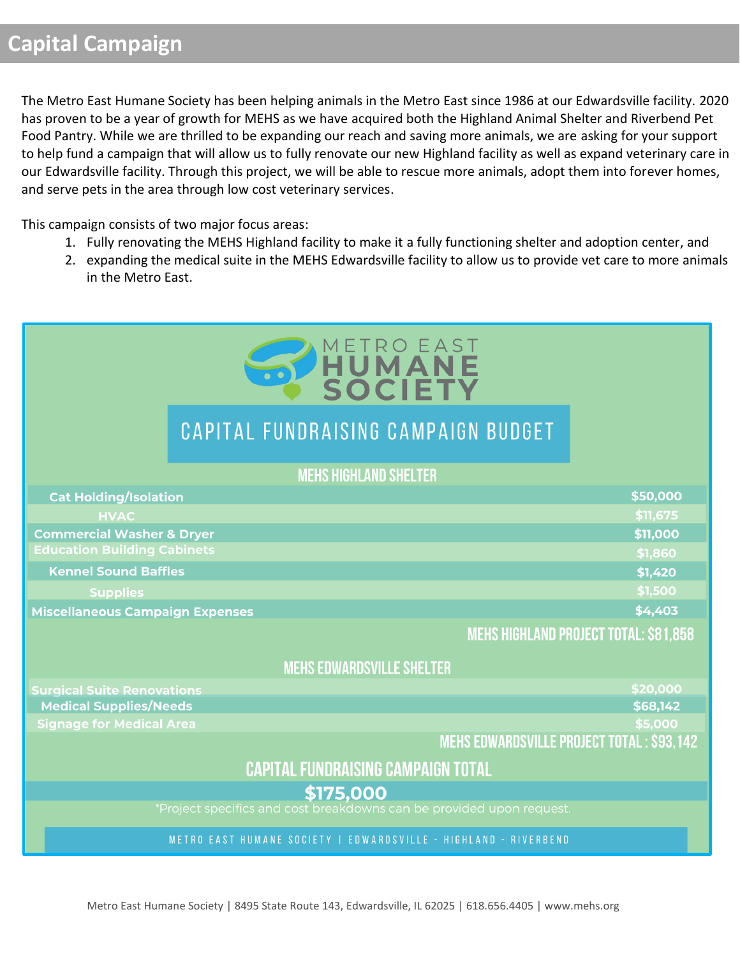The Metro East Humane Society has been helping animals in the Metro East since 1986 at our Edwardsville facility. 2020 has proven to be a year of growth for MEHS as we have acquired both the Highland Animal Shelter and Riverbend Pet Food Pantry. While we are thrilled to be expanding our reach and saving more animals, we are asking for your support to help fund a campaign that will allow us to fully renovate our new Highland facility as well as expand veterinary care in our Edwardsville facility. Through this project, we will be able to rescue more animals, adopt them into forever homes, and serve pets in the area through low cost veterinary services.

This campaign consists of two major focus areas:

- 1. Fully renovating the MEHS Highland facility to make it a fully functioning shelter and adoption center, and
- 2. expanding the medical suite in the MEHS Edwardsville facility to allow us to provide vet care to more animals in the Metro East.

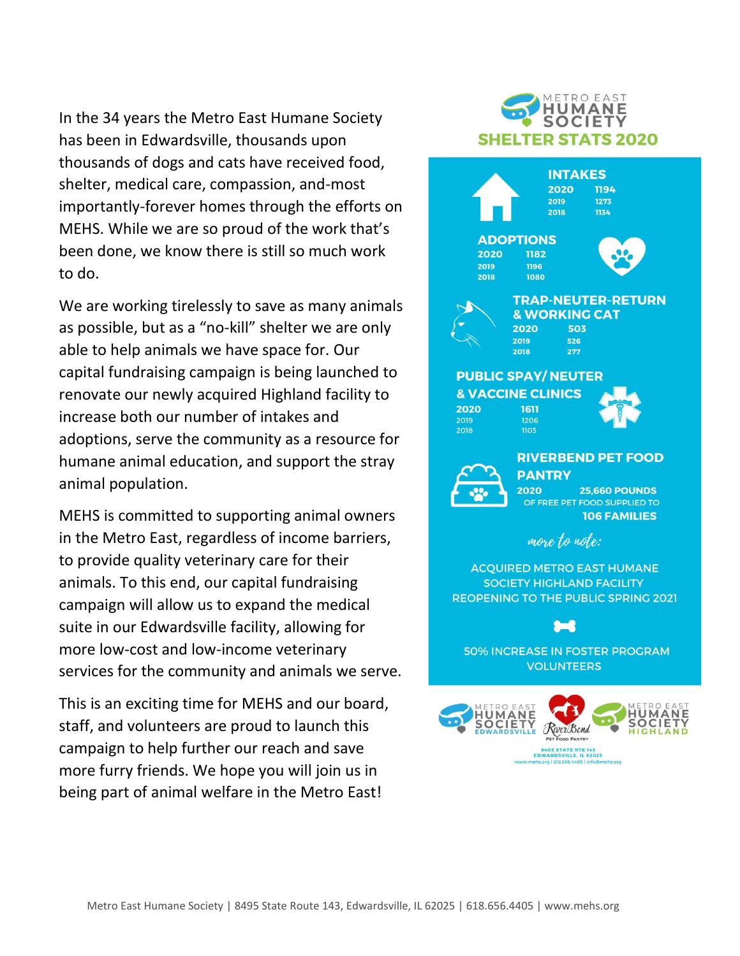In the 34 years the Metro East Humane Society has been in Edwardsville, thousands upon thousands of dogs and cats have received food, shelter, medical care, compassion, and-most importantly-forever homes through the efforts on MEHS. While we are so proud of the work that's been done, we know there is still so much work to do.

We are working tirelessly to save as many animals as possible, but as a "no-kill" shelter we are only able to help animals we have space for. Our capital fundraising campaign is being launched to renovate our newly acquired Highland facility to increase both our number of intakes and adoptions, serve the community as a resource for humane animal education, and support the stray animal population.

MEHS is committed to supporting animal owners in the Metro East, regardless of income barriers, to provide quality veterinary care for their animals. To this end, our capital fundraising campaign will allow us to expand the medical suite in our Edwardsville facility, allowing for more low-cost and low-income veterinary services for the community and animals we serve.

This is an exciting time for MEHS and our board, staff, and volunteers are proud to launch this campaign to help further our reach and save more furry friends. We hope you will join us in being part of animal welfare in the Metro East!

### **SOCIETY SHELTER STATS 2020 INTAKES** 2020 1194 2019 1273 2018 1134 **ADOPTIONS** 2020 1182 2019 1196 2018 1080 **TRAP-NEUTER-RETURN & WORKING CAT** 2020 503 2019 526 2018  $277$

METRO EAST **HUMANE** 

### **PUBLIC SPAY/NEUTER & VACCINE CLINICS**

2020 2018

1611





**RIVERBEND PET FOOD PANTRY** 2020

**25,660 POUNDS** OF FREE PET FOOD SUPPLIED TO **106 FAMILIES** 

more to note:

**ACQUIRED METRO EAST HUMANE SOCIETY HIGHLAND FACILITY** REOPENING TO THE PUBLIC SPRING 2021

**50% INCREASE IN FOSTER PROGRAM VOLUNTEERS** 

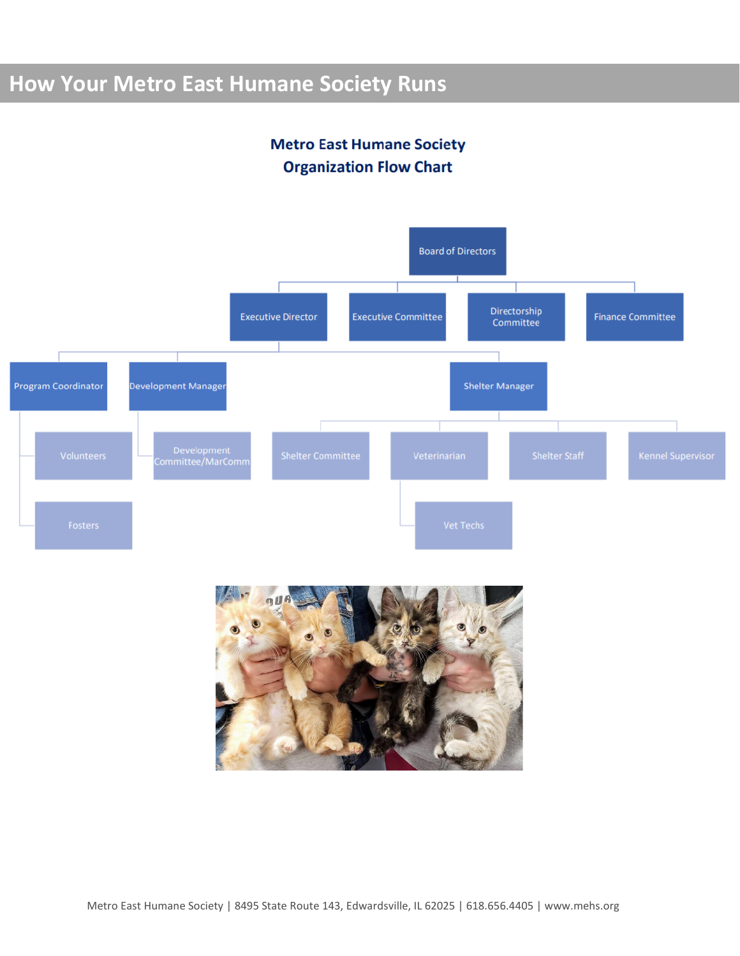# **How Your Metro East Humane Society Runs**

## **Metro East Humane Society Organization Flow Chart**



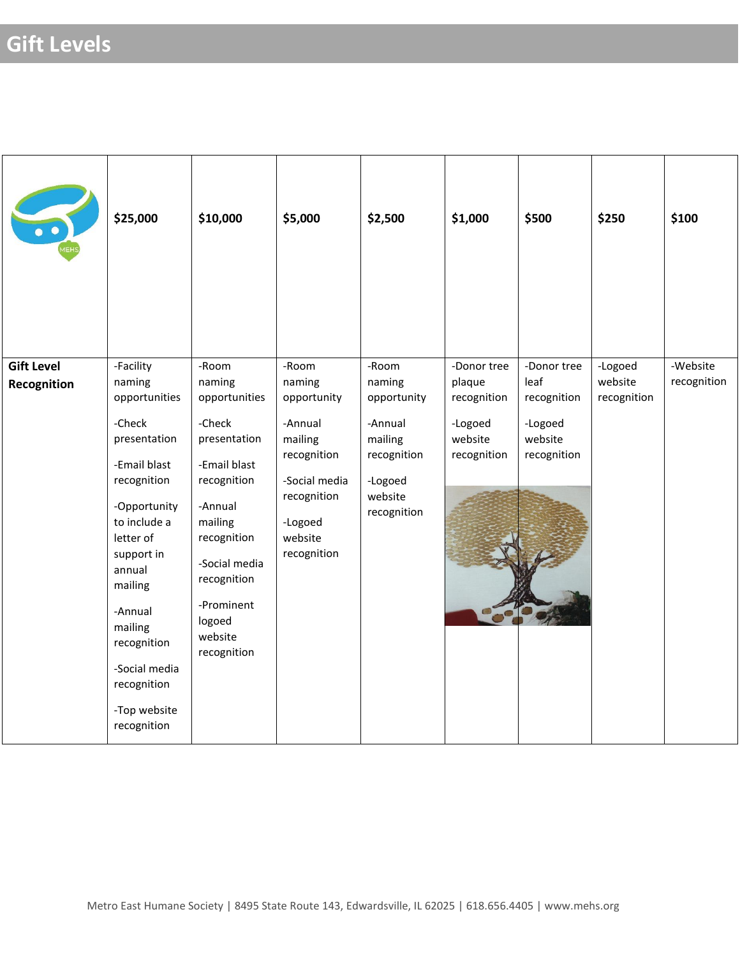|                                  | \$25,000                                                                                                                                                                                                                                                                          | \$10,000                                                                                                                                                                                                         | \$5,000                                                                                                                                  | \$2,500                                                                                                  | \$1,000                                                                   | \$500                                                                   | \$250                             | \$100                   |
|----------------------------------|-----------------------------------------------------------------------------------------------------------------------------------------------------------------------------------------------------------------------------------------------------------------------------------|------------------------------------------------------------------------------------------------------------------------------------------------------------------------------------------------------------------|------------------------------------------------------------------------------------------------------------------------------------------|----------------------------------------------------------------------------------------------------------|---------------------------------------------------------------------------|-------------------------------------------------------------------------|-----------------------------------|-------------------------|
| <b>Gift Level</b><br>Recognition | -Facility<br>naming<br>opportunities<br>-Check<br>presentation<br>-Email blast<br>recognition<br>-Opportunity<br>to include a<br>letter of<br>support in<br>annual<br>mailing<br>-Annual<br>mailing<br>recognition<br>-Social media<br>recognition<br>-Top website<br>recognition | -Room<br>naming<br>opportunities<br>-Check<br>presentation<br>-Email blast<br>recognition<br>-Annual<br>mailing<br>recognition<br>-Social media<br>recognition<br>-Prominent<br>logoed<br>website<br>recognition | -Room<br>naming<br>opportunity<br>-Annual<br>mailing<br>recognition<br>-Social media<br>recognition<br>-Logoed<br>website<br>recognition | -Room<br>naming<br>opportunity<br>-Annual<br>mailing<br>recognition<br>-Logoed<br>website<br>recognition | -Donor tree<br>plaque<br>recognition<br>-Logoed<br>website<br>recognition | -Donor tree<br>leaf<br>recognition<br>-Logoed<br>website<br>recognition | -Logoed<br>website<br>recognition | -Website<br>recognition |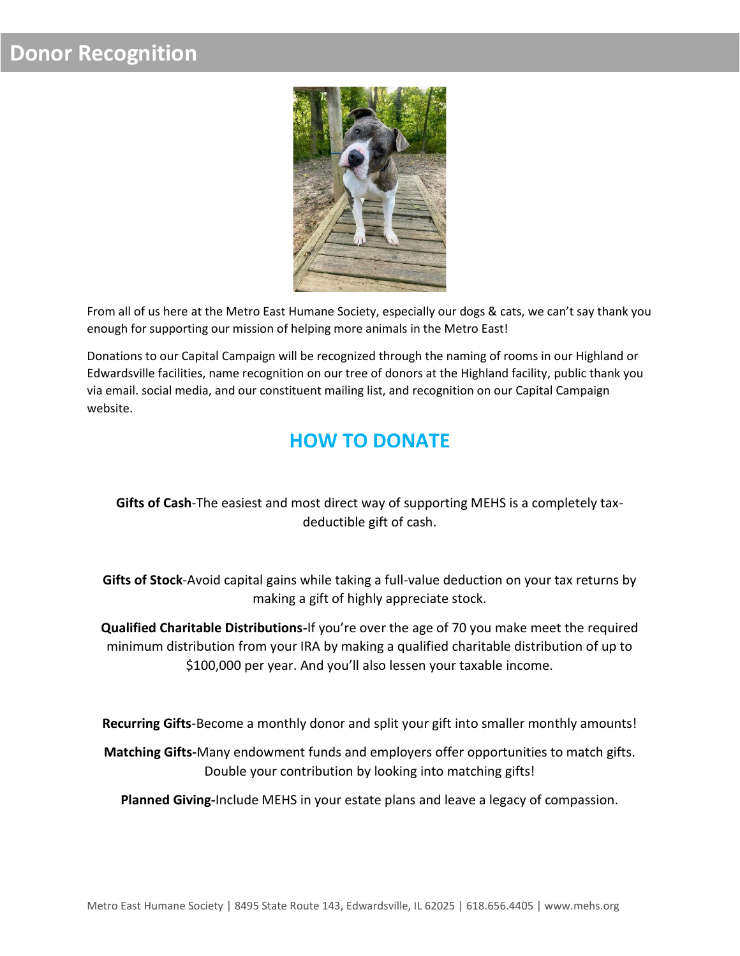# **Donor Recognition**



From all of us here at the Metro East Humane Society, especially our dogs & cats, we can't say thank you enough for supporting our mission of helping more animals in the Metro East!

Donations to our Capital Campaign will be recognized through the naming of rooms in our Highland or Edwardsville facilities, name recognition on our tree of donors at the Highland facility, public thank you via email. social media, and our constituent mailing list, and recognition on our Capital Campaign website.

# **HOW TO DONATE**

## **Gifts of Cash**-The easiest and most direct way of supporting MEHS is a completely taxdeductible gift of cash.

**Gifts of Stock**-Avoid capital gains while taking a full-value deduction on your tax returns by making a gift of highly appreciate stock.

**Qualified Charitable Distributions-**If you're over the age of 70 you make meet the required minimum distribution from your IRA by making a qualified charitable distribution of up to \$100,000 per year. And you'll also lessen your taxable income.

**Recurring Gifts**-Become a monthly donor and split your gift into smaller monthly amounts!

**Matching Gifts-**Many endowment funds and employers offer opportunities to match gifts. Double your contribution by looking into matching gifts!

**Planned Giving-**Include MEHS in your estate plans and leave a legacy of compassion.